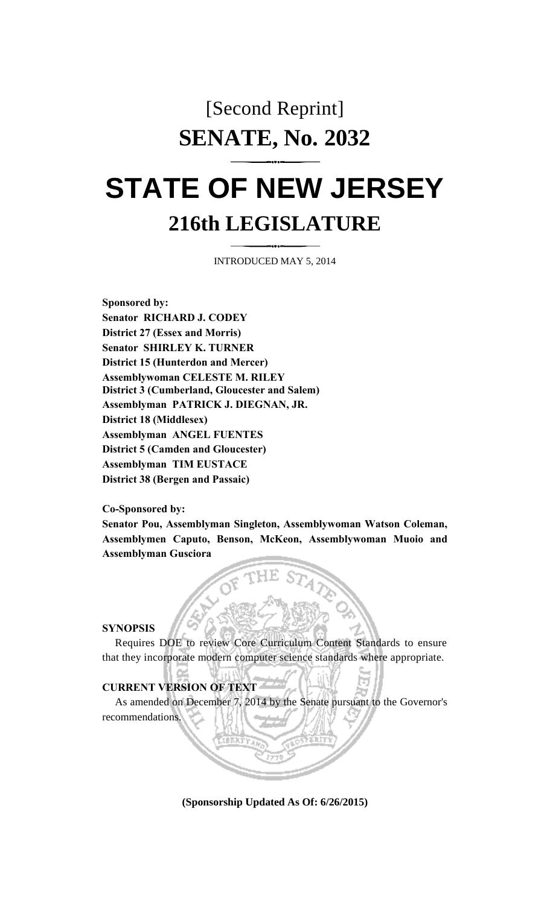# [Second Reprint] **SENATE, No. 2032**

# **STATE OF NEW JERSEY 216th LEGISLATURE**

INTRODUCED MAY 5, 2014

**Sponsored by: Senator RICHARD J. CODEY District 27 (Essex and Morris) Senator SHIRLEY K. TURNER District 15 (Hunterdon and Mercer) Assemblywoman CELESTE M. RILEY District 3 (Cumberland, Gloucester and Salem) Assemblyman PATRICK J. DIEGNAN, JR. District 18 (Middlesex) Assemblyman ANGEL FUENTES District 5 (Camden and Gloucester) Assemblyman TIM EUSTACE District 38 (Bergen and Passaic)**

**Co-Sponsored by:**

**Senator Pou, Assemblyman Singleton, Assemblywoman Watson Coleman, Assemblymen Caputo, Benson, McKeon, Assemblywoman Muoio and Assemblyman Gusciora**

#### **SYNOPSIS**

Requires DOE to review Core Curriculum Content Standards to ensure that they incorporate modern computer science standards where appropriate.

## **CURRENT VERSION OF TEXT**

As amended on December 7, 2014 by the Senate pursuant to the Governor's recommendations.

**(Sponsorship Updated As Of: 6/26/2015)**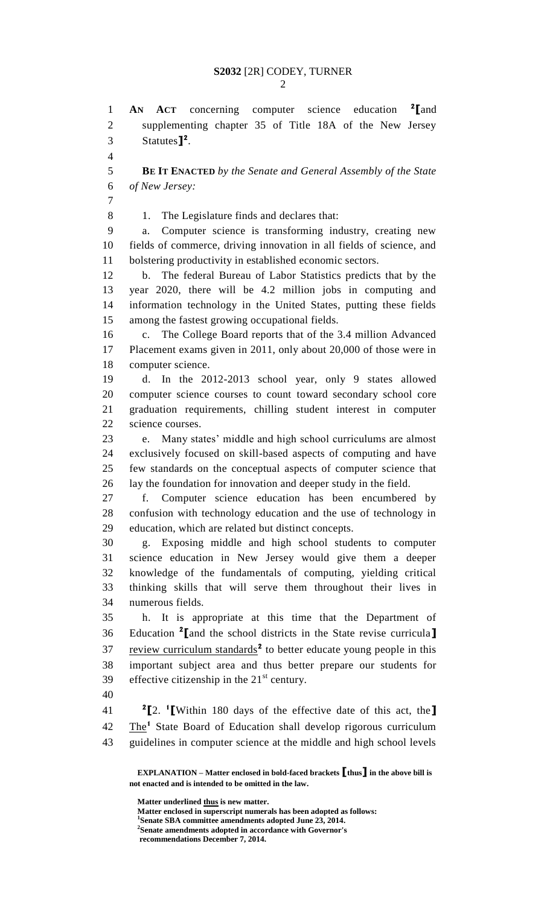**AN ACT** concerning computer science education **<sup>2</sup> [**and supplementing chapter 35 of Title 18A of the New Jersey Statutes**] 2** . **BE IT ENACTED** *by the Senate and General Assembly of the State of New Jersey:* 8 1. The Legislature finds and declares that: a. Computer science is transforming industry, creating new fields of commerce, driving innovation in all fields of science, and bolstering productivity in established economic sectors. b. The federal Bureau of Labor Statistics predicts that by the year 2020, there will be 4.2 million jobs in computing and information technology in the United States, putting these fields among the fastest growing occupational fields. c. The College Board reports that of the 3.4 million Advanced Placement exams given in 2011, only about 20,000 of those were in computer science. d. In the 2012-2013 school year, only 9 states allowed computer science courses to count toward secondary school core graduation requirements, chilling student interest in computer science courses. e. Many states' middle and high school curriculums are almost exclusively focused on skill-based aspects of computing and have few standards on the conceptual aspects of computer science that lay the foundation for innovation and deeper study in the field. f. Computer science education has been encumbered by confusion with technology education and the use of technology in education, which are related but distinct concepts. g. Exposing middle and high school students to computer science education in New Jersey would give them a deeper knowledge of the fundamentals of computing, yielding critical thinking skills that will serve them throughout their lives in numerous fields. h. It is appropriate at this time that the Department of Education **<sup>2</sup> [**and the school districts in the State revise curricula**]** 37 review curriculum standards<sup>2</sup> to better educate young people in this important subject area and thus better prepare our students for 39 effective citizenship in the  $21<sup>st</sup>$  century. **[**2. **<sup>1</sup> [**Within 180 days of the effective date of this act, the**]** 42 The<sup>1</sup> State Board of Education shall develop rigorous curriculum guidelines in computer science at the middle and high school levels

**Matter underlined thus is new matter.**

**Matter enclosed in superscript numerals has been adopted as follows: Senate SBA committee amendments adopted June 23, 2014. Senate amendments adopted in accordance with Governor's recommendations December 7, 2014.**

**EXPLANATION – Matter enclosed in bold-faced brackets [thus] in the above bill is not enacted and is intended to be omitted in the law.**